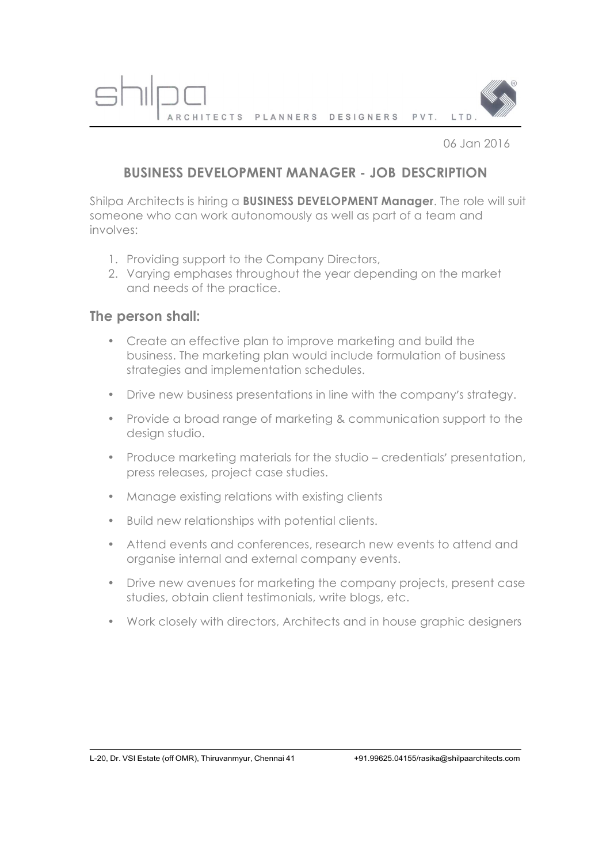PLANNERS PVT. LTD **ARCHITECTS** DESIGNERS

06 Jan 2016

## **BUSINESS DEVELOPMENT MANAGER - JOB DESCRIPTION**

Shilpa Architects is hiring a **BUSINESS DEVELOPMENT Manager**. The role will suit someone who can work autonomously as well as part of a team and involves:

- 1. Providing support to the Company Directors,
- 2. Varying emphases throughout the year depending on the market and needs of the practice.

## **The person shall:**

- Create an effective plan to improve marketing and build the business. The marketing plan would include formulation of business strategies and implementation schedules.
- Drive new business presentations in line with the company's strategy.
- Provide a broad range of marketing & communication support to the desian studio.
- Produce marketing materials for the studio credentials' presentation, press releases, project case studies.
- Manage existing relations with existing clients
- Build new relationships with potential clients.
- Attend events and conferences, research new events to attend and organise internal and external company events.
- Drive new avenues for marketing the company projects, present case studies, obtain client testimonials, write blogs, etc.
- Work closely with directors, Architects and in house graphic designers